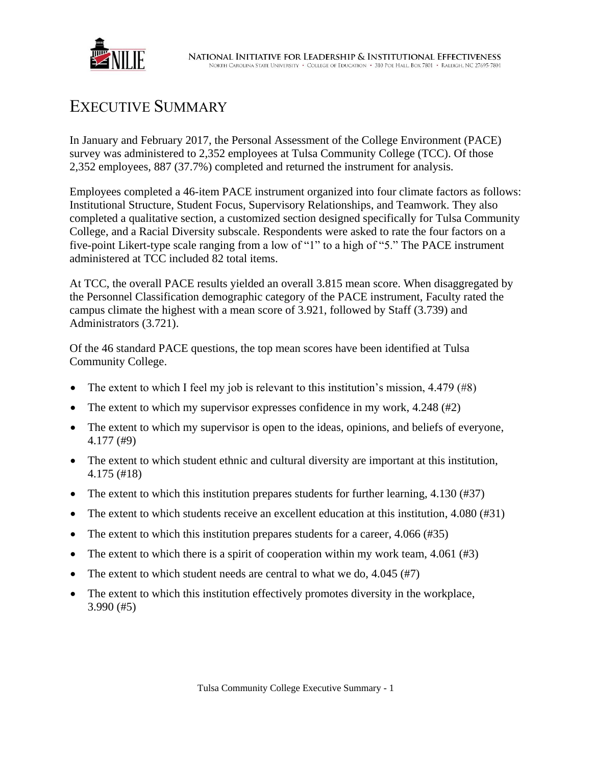

## EXECUTIVE SUMMARY

In January and February 2017, the Personal Assessment of the College Environment (PACE) survey was administered to 2,352 employees at Tulsa Community College (TCC). Of those 2,352 employees, 887 (37.7%) completed and returned the instrument for analysis.

Employees completed a 46-item PACE instrument organized into four climate factors as follows: Institutional Structure, Student Focus, Supervisory Relationships, and Teamwork. They also completed a qualitative section, a customized section designed specifically for Tulsa Community College, and a Racial Diversity subscale. Respondents were asked to rate the four factors on a five-point Likert-type scale ranging from a low of "1" to a high of "5." The PACE instrument administered at TCC included 82 total items.

At TCC, the overall PACE results yielded an overall 3.815 mean score. When disaggregated by the Personnel Classification demographic category of the PACE instrument, Faculty rated the campus climate the highest with a mean score of 3.921, followed by Staff (3.739) and Administrators (3.721).

Of the 46 standard PACE questions, the top mean scores have been identified at Tulsa Community College.

- The extent to which I feel my job is relevant to this institution's mission,  $4.479$  (#8)
- The extent to which my supervisor expresses confidence in my work, 4.248 (#2)
- The extent to which my supervisor is open to the ideas, opinions, and beliefs of everyone, 4.177 (#9)
- The extent to which student ethnic and cultural diversity are important at this institution, 4.175 (#18)
- The extent to which this institution prepares students for further learning,  $4.130$  (#37)
- The extent to which students receive an excellent education at this institution, 4.080 (#31)
- The extent to which this institution prepares students for a career,  $4.066 \,(#35)$
- The extent to which there is a spirit of cooperation within my work team, 4.061 (#3)
- The extent to which student needs are central to what we do, 4.045 (#7)
- The extent to which this institution effectively promotes diversity in the workplace, 3.990 (#5)